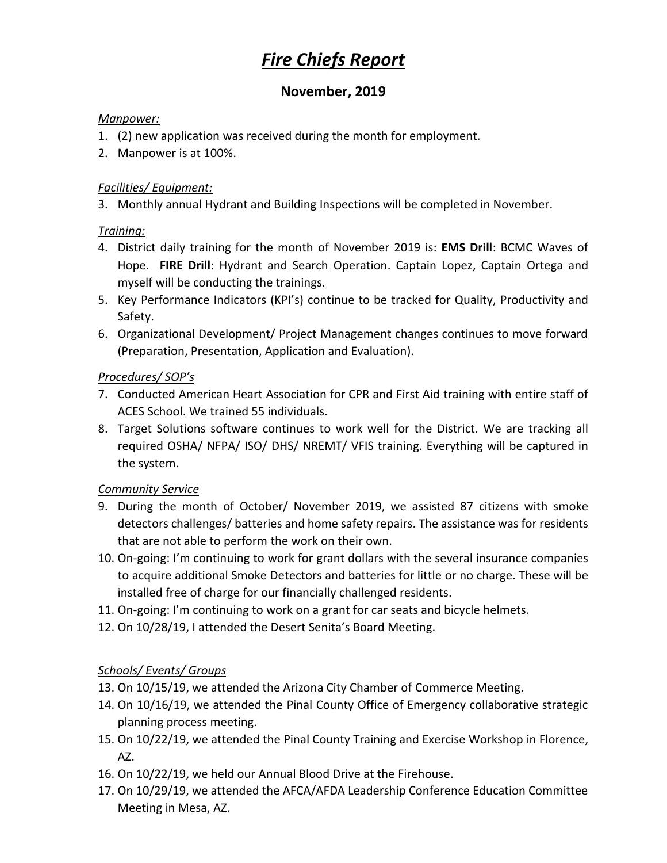# *Fire Chiefs Report*

## **November, 2019**

#### *Manpower:*

- 1. (2) new application was received during the month for employment.
- 2. Manpower is at 100%.

#### *Facilities/ Equipment:*

3. Monthly annual Hydrant and Building Inspections will be completed in November.

#### *Training:*

- 4. District daily training for the month of November 2019 is: **EMS Drill**: BCMC Waves of Hope. **FIRE Drill**: Hydrant and Search Operation. Captain Lopez, Captain Ortega and myself will be conducting the trainings.
- 5. Key Performance Indicators (KPI's) continue to be tracked for Quality, Productivity and Safety.
- 6. Organizational Development/ Project Management changes continues to move forward (Preparation, Presentation, Application and Evaluation).

### *Procedures/ SOP's*

- 7. Conducted American Heart Association for CPR and First Aid training with entire staff of ACES School. We trained 55 individuals.
- 8. Target Solutions software continues to work well for the District. We are tracking all required OSHA/ NFPA/ ISO/ DHS/ NREMT/ VFIS training. Everything will be captured in the system.

#### *Community Service*

- 9. During the month of October/ November 2019, we assisted 87 citizens with smoke detectors challenges/ batteries and home safety repairs. The assistance was for residents that are not able to perform the work on their own.
- 10. On-going: I'm continuing to work for grant dollars with the several insurance companies to acquire additional Smoke Detectors and batteries for little or no charge. These will be installed free of charge for our financially challenged residents.
- 11. On-going: I'm continuing to work on a grant for car seats and bicycle helmets.
- 12. On 10/28/19, I attended the Desert Senita's Board Meeting.

## *Schools/ Events/ Groups*

- 13. On 10/15/19, we attended the Arizona City Chamber of Commerce Meeting.
- 14. On 10/16/19, we attended the Pinal County Office of Emergency collaborative strategic planning process meeting.
- 15. On 10/22/19, we attended the Pinal County Training and Exercise Workshop in Florence, AZ.
- 16. On 10/22/19, we held our Annual Blood Drive at the Firehouse.
- 17. On 10/29/19, we attended the AFCA/AFDA Leadership Conference Education Committee Meeting in Mesa, AZ.